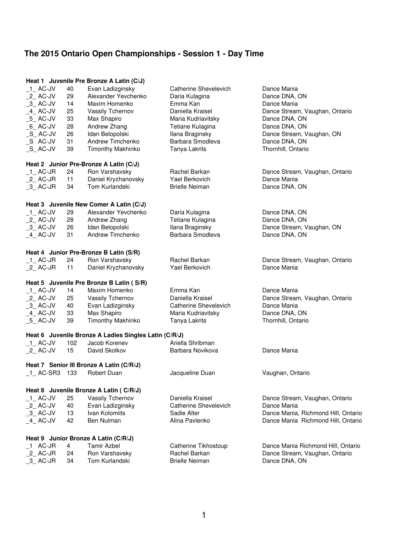|                                          |           | Heat 1 Juvenile Pre Bronze A Latin (C/J)              |                                       |                                                 |
|------------------------------------------|-----------|-------------------------------------------------------|---------------------------------------|-------------------------------------------------|
| 1 AC-JV                                  | 40        | Evan Ladizginsky                                      | Catherine Shevelevich                 | Dance Mania                                     |
| 2_AC-JV                                  | 29        | Alexander Yevchenko                                   | Daria Kulagina                        | Dance DNA, ON                                   |
| $-3$ AC-JV                               | 14        | Maxim Homenko                                         | Emma Kan                              | Dance Mania                                     |
| $-4$ AC-JV                               | 25        | Vassily Tchernov                                      | Daniella Kraisel                      | Dance Stream, Vaughan, Ontario                  |
| $-5$ AC-JV                               | 33        | Max Shapiro                                           | Maria Kudriavitsky                    | Dance DNA, ON                                   |
| $_6$ AC-JV                               | 28        | Andrew Zhang                                          | Tetiane Kulagina                      | Dance DNA, ON                                   |
| $\_S\_$ AC-JV                            | 26        | Idan Belopolski                                       | Ilana Braginsky                       | Dance Stream, Vaughan, ON                       |
| _S AC-JV                                 | 31        | Andrew Timchenko                                      | Barbara Smodleva                      | Dance DNA, ON                                   |
| $_S$ _AC-JV                              | 39        | Timonthy Makhinko                                     | Tanya Lakrits                         | Thornhill, Ontario                              |
|                                          |           | Heat 2 Junior Pre-Bronze A Latin (C/J)                |                                       |                                                 |
| $_1$ AC-JR                               | 24        | Ron Varshavsky                                        | Rachel Barkan                         | Dance Stream, Vaughan, Ontario                  |
| $_2$ AC-JR                               | 11        | Daniel Kryzhanovsky                                   | Yael Berkovich                        | Dance Mania                                     |
| $-3$ AC-JR                               | 34        | Tom Kurlandski                                        | <b>Brielle Neiman</b>                 | Dance DNA, ON                                   |
|                                          |           |                                                       |                                       |                                                 |
|                                          |           | Heat 3 Juvenile New Comer A Latin (C/J)               |                                       |                                                 |
| $-1$ AC-JV                               | 29        | Alexander Yevchenko                                   | Daria Kulagina                        | Dance DNA, ON                                   |
| $2$ AC-JV                                | 28        | Andrew Zhang                                          | Tetiane Kulagina                      | Dance DNA, ON                                   |
| $-3$ AC-JV                               | 26        | Idan Belopolski                                       | Ilana Braginsky                       | Dance Stream, Vaughan, ON                       |
| 4 AC-JV                                  | 31        | Andrew Timchenko                                      | Barbara Smodleva                      | Dance DNA, ON                                   |
|                                          |           |                                                       |                                       |                                                 |
|                                          |           | Heat 4 Junior Pre-Bronze B Latin (S/R)                |                                       |                                                 |
| $_1$ AC-JR                               | 24        | Ron Varshavsky                                        | Rachel Barkan                         | Dance Stream, Vaughan, Ontario                  |
| $2$ AC-JR                                | 11        | Daniel Kryzhanovsky                                   | Yael Berkovich                        | Dance Mania                                     |
| Heat 5 Juvenile Pre Bronze B Latin (S/R) |           |                                                       |                                       |                                                 |
|                                          |           |                                                       |                                       |                                                 |
|                                          | 14        | Maxim Homenko                                         | Emma Kan                              | Dance Mania                                     |
| $-1$ AC-JV<br>$2$ AC-JV                  | 25        | Vassily Tchernov                                      | Daniella Kraisel                      | Dance Stream, Vaughan, Ontario                  |
|                                          | 40        |                                                       | <b>Catherine Shevelevich</b>          | Dance Mania                                     |
| $-3$ AC-JV<br>4 AC-JV                    | 33        | Evan Ladizginsky<br>Max Shapiro                       |                                       | Dance DNA, ON                                   |
| $-5$ AC-JV                               | 39        | Timonthy Makhinko                                     | Maria Kudriavitsky<br>Tanya Lakrits   | Thornhill, Ontario                              |
|                                          |           |                                                       |                                       |                                                 |
|                                          |           | Heat 6 Juvenile Bronze A Ladies Singles Latin (C/R/J) |                                       |                                                 |
| $-1$ AC-JV                               | 102<br>15 | Jacob Korenev<br>David Skolkov                        | Ariella Shribman<br>Barbara Novikova  | Dance Mania                                     |
| $_2$ AC-JV                               |           |                                                       |                                       |                                                 |
|                                          |           | Heat 7 Senior III Bronze A Latin (C/R/J)              |                                       |                                                 |
| 1 AC-SR3 133                             |           | <b>Robert Duan</b>                                    | Jacqueline Duan                       | Vaughan, Ontario                                |
|                                          |           |                                                       |                                       |                                                 |
|                                          |           | Heat 8 Juvenile Bronze A Latin (C/R/J)                |                                       |                                                 |
| $1$ AC-JV                                | 25        | Vassily Tchernov                                      | Daniella Kraisel                      | Dance Stream, Vaughan, Ontario                  |
| $_2$ AC-JV                               | 40        | Evan Ladizginsky                                      | Catherine Shevelevich                 | Dance Mania                                     |
| $-3$ AC-JV                               | 13        | Ivan Kolomiits                                        | Sadie Alter                           | Dance Mania, Richmond Hill, Ontario             |
| $-4$ AC-JV                               | 42        | Ben Nulman                                            | Alina Pavlenko                        | Dance Mania Richmond Hill, Ontario              |
|                                          |           | Heat 9 Junior Bronze A Latin (C/R/J)                  |                                       |                                                 |
|                                          | 4         | <b>Tamir Azbel</b>                                    |                                       |                                                 |
| $\_1$ AC-JR                              | 24        |                                                       | Catherine Tikhostoup<br>Rachel Barkan | Dance Mania Richmond Hill, Ontario              |
| $2$ AC-JR<br>$-3$ AC-JR                  | 34        | Ron Varshavsky<br>Tom Kurlandski                      | <b>Brielle Neiman</b>                 | Dance Stream, Vaughan, Ontario<br>Dance DNA, ON |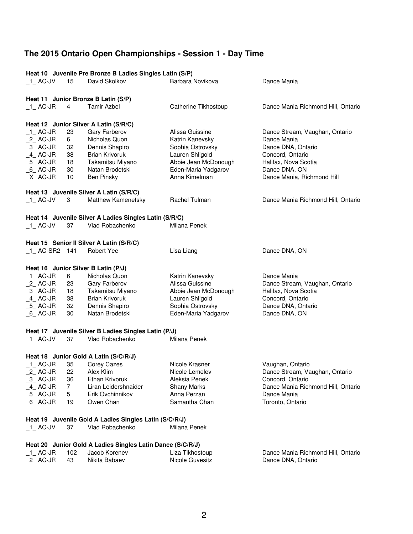| David Skolkov<br>Barbara Novikova<br>Dance Mania<br>$-1$ AC-JV<br>15<br>Heat 11 Junior Bronze B Latin (S/P)<br>$\overline{4}$<br><b>Tamir Azbel</b><br>$\_1\_$ AC-JR<br>Catherine Tikhostoup<br>Dance Mania Richmond Hill, Ontario<br>Heat 12 Junior Silver A Latin (S/R/C)<br>1 AC-JR<br>23<br>Gary Farberov<br>Dance Stream, Vaughan, Ontario<br>Alissa Guissine<br>$_2$ AC-JR<br>Nicholas Quon<br>Katrin Kanevsky<br>6<br>Dance Mania<br>$-3$ AC-JR<br>32<br>Dennis Shapiro<br>Sophia Ostrovsky<br>Dance DNA, Ontario<br>$-4$ AC-JR<br>38<br><b>Brian Krivoruk</b><br>Lauren Shligold<br>Concord, Ontario<br>Abbie Jean McDonough<br>$-5$ AC-JR<br>18<br>Takamitsu Miyano<br>Halifax, Nova Scotia<br>Eden-Maria Yadgarov<br>$_6$ AC-JR<br>30<br>Natan Brodetski<br>Dance DNA, ON<br>$X$ AC-JR<br>10<br>Anna Kimelman<br>Dance Mania, Richmond Hill<br><b>Ben Pinsky</b><br>Heat 13 Juvenile Silver A Latin (S/R/C)<br>$-1$ AC-JV<br>Matthew Kamenetsky<br>Rachel Tulman<br>Dance Mania Richmond Hill, Ontario<br>3<br>Heat 14 Juvenile Silver A Ladies Singles Latin (S/R/C)<br>$-1$ AC-JV<br>37<br>Vlad Robachenko<br>Milana Penek<br>Heat 15 Senior II Silver A Latin (S/R/C)<br>$-1$ AC-SR2 141<br><b>Robert Yee</b><br>Lisa Liang<br>Dance DNA, ON<br>Heat 16 Junior Silver B Latin (P/J)<br>$_1$ AC-JR<br>6<br>Nicholas Quon<br>Katrin Kanevsky<br>Dance Mania<br>$2$ AC-JR<br>Alissa Guissine<br>23<br>Gary Farberov<br>Dance Stream, Vaughan, Ontario<br>Abbie Jean McDonough<br>$-3$ AC-JR<br>18<br>Takamitsu Miyano<br>Halifax, Nova Scotia<br><b>Brian Krivoruk</b><br>4_AC-JR<br>38<br>Lauren Shligold<br>Concord, Ontario<br>5 AC-JR<br>32<br>Dennis Shapiro<br>Sophia Ostrovsky<br>Dance DNA, Ontario<br>$6$ AC-JR<br>Natan Brodetski<br>Eden-Maria Yadgarov<br>Dance DNA, ON<br>30<br>Heat 17 Juvenile Silver B Ladies Singles Latin (P/J)<br>Vlad Robachenko<br>Milana Penek<br>$-1$ AC-JV<br>37<br>Heat 18 Junior Gold A Latin (S/C/R/J)<br>$-1$ AC-JR<br>35<br>Corey Cazes<br>Nicole Krasner<br>Vaughan, Ontario<br>Nicole Lemelev<br>Dance Stream, Vaughan, Ontario<br>$_2$ AC-JR<br>22<br>Alex Klim<br>$-3$ AC-JR<br>Ethan Krivoruk<br>36<br>Aleksia Penek<br>Concord, Ontario<br>4 AC-JR<br>$\overline{7}$<br>Liran Leidershnaider<br><b>Shany Marks</b><br>Dance Mania Richmond Hill, Ontario<br>$-5$ AC-JR<br>5<br>Anna Perzan<br>Erik Ovchinnikov<br>Dance Mania<br>19<br>Samantha Chan<br>Toronto, Ontario<br>$_6$ AC-JR<br>Owen Chan<br>Heat 19 Juvenile Gold A Ladies Singles Latin (S/C/R/J)<br>Vlad Robachenko<br>$-1$ AC-JV<br>37<br>Milana Penek<br>Heat 20 Junior Gold A Ladies Singles Latin Dance (S/C/R/J)<br>102<br>Jacob Korenev<br>$\_$ 1 $\_$ AC-JR<br>Liza Tikhostoup<br>Dance Mania Richmond Hill, Ontario<br>$2$ AC-JR<br>43<br>Nikita Babaev<br>Nicole Guvesitz<br>Dance DNA, Ontario | Heat 10 Juvenile Pre Bronze B Ladies Singles Latin (S/P) |  |  |  |  |  |  |
|------------------------------------------------------------------------------------------------------------------------------------------------------------------------------------------------------------------------------------------------------------------------------------------------------------------------------------------------------------------------------------------------------------------------------------------------------------------------------------------------------------------------------------------------------------------------------------------------------------------------------------------------------------------------------------------------------------------------------------------------------------------------------------------------------------------------------------------------------------------------------------------------------------------------------------------------------------------------------------------------------------------------------------------------------------------------------------------------------------------------------------------------------------------------------------------------------------------------------------------------------------------------------------------------------------------------------------------------------------------------------------------------------------------------------------------------------------------------------------------------------------------------------------------------------------------------------------------------------------------------------------------------------------------------------------------------------------------------------------------------------------------------------------------------------------------------------------------------------------------------------------------------------------------------------------------------------------------------------------------------------------------------------------------------------------------------------------------------------------------------------------------------------------------------------------------------------------------------------------------------------------------------------------------------------------------------------------------------------------------------------------------------------------------------------------------------------------------------------------------------------------------------------------------------------------------------------------------------------------------------------------------------------------------------------------------------------------------------------------------------------------------------------------------------------------------------------------|----------------------------------------------------------|--|--|--|--|--|--|
|                                                                                                                                                                                                                                                                                                                                                                                                                                                                                                                                                                                                                                                                                                                                                                                                                                                                                                                                                                                                                                                                                                                                                                                                                                                                                                                                                                                                                                                                                                                                                                                                                                                                                                                                                                                                                                                                                                                                                                                                                                                                                                                                                                                                                                                                                                                                                                                                                                                                                                                                                                                                                                                                                                                                                                                                                                    |                                                          |  |  |  |  |  |  |
|                                                                                                                                                                                                                                                                                                                                                                                                                                                                                                                                                                                                                                                                                                                                                                                                                                                                                                                                                                                                                                                                                                                                                                                                                                                                                                                                                                                                                                                                                                                                                                                                                                                                                                                                                                                                                                                                                                                                                                                                                                                                                                                                                                                                                                                                                                                                                                                                                                                                                                                                                                                                                                                                                                                                                                                                                                    |                                                          |  |  |  |  |  |  |
|                                                                                                                                                                                                                                                                                                                                                                                                                                                                                                                                                                                                                                                                                                                                                                                                                                                                                                                                                                                                                                                                                                                                                                                                                                                                                                                                                                                                                                                                                                                                                                                                                                                                                                                                                                                                                                                                                                                                                                                                                                                                                                                                                                                                                                                                                                                                                                                                                                                                                                                                                                                                                                                                                                                                                                                                                                    |                                                          |  |  |  |  |  |  |
|                                                                                                                                                                                                                                                                                                                                                                                                                                                                                                                                                                                                                                                                                                                                                                                                                                                                                                                                                                                                                                                                                                                                                                                                                                                                                                                                                                                                                                                                                                                                                                                                                                                                                                                                                                                                                                                                                                                                                                                                                                                                                                                                                                                                                                                                                                                                                                                                                                                                                                                                                                                                                                                                                                                                                                                                                                    |                                                          |  |  |  |  |  |  |
|                                                                                                                                                                                                                                                                                                                                                                                                                                                                                                                                                                                                                                                                                                                                                                                                                                                                                                                                                                                                                                                                                                                                                                                                                                                                                                                                                                                                                                                                                                                                                                                                                                                                                                                                                                                                                                                                                                                                                                                                                                                                                                                                                                                                                                                                                                                                                                                                                                                                                                                                                                                                                                                                                                                                                                                                                                    |                                                          |  |  |  |  |  |  |
|                                                                                                                                                                                                                                                                                                                                                                                                                                                                                                                                                                                                                                                                                                                                                                                                                                                                                                                                                                                                                                                                                                                                                                                                                                                                                                                                                                                                                                                                                                                                                                                                                                                                                                                                                                                                                                                                                                                                                                                                                                                                                                                                                                                                                                                                                                                                                                                                                                                                                                                                                                                                                                                                                                                                                                                                                                    |                                                          |  |  |  |  |  |  |
|                                                                                                                                                                                                                                                                                                                                                                                                                                                                                                                                                                                                                                                                                                                                                                                                                                                                                                                                                                                                                                                                                                                                                                                                                                                                                                                                                                                                                                                                                                                                                                                                                                                                                                                                                                                                                                                                                                                                                                                                                                                                                                                                                                                                                                                                                                                                                                                                                                                                                                                                                                                                                                                                                                                                                                                                                                    |                                                          |  |  |  |  |  |  |
|                                                                                                                                                                                                                                                                                                                                                                                                                                                                                                                                                                                                                                                                                                                                                                                                                                                                                                                                                                                                                                                                                                                                                                                                                                                                                                                                                                                                                                                                                                                                                                                                                                                                                                                                                                                                                                                                                                                                                                                                                                                                                                                                                                                                                                                                                                                                                                                                                                                                                                                                                                                                                                                                                                                                                                                                                                    |                                                          |  |  |  |  |  |  |
|                                                                                                                                                                                                                                                                                                                                                                                                                                                                                                                                                                                                                                                                                                                                                                                                                                                                                                                                                                                                                                                                                                                                                                                                                                                                                                                                                                                                                                                                                                                                                                                                                                                                                                                                                                                                                                                                                                                                                                                                                                                                                                                                                                                                                                                                                                                                                                                                                                                                                                                                                                                                                                                                                                                                                                                                                                    |                                                          |  |  |  |  |  |  |
|                                                                                                                                                                                                                                                                                                                                                                                                                                                                                                                                                                                                                                                                                                                                                                                                                                                                                                                                                                                                                                                                                                                                                                                                                                                                                                                                                                                                                                                                                                                                                                                                                                                                                                                                                                                                                                                                                                                                                                                                                                                                                                                                                                                                                                                                                                                                                                                                                                                                                                                                                                                                                                                                                                                                                                                                                                    |                                                          |  |  |  |  |  |  |
|                                                                                                                                                                                                                                                                                                                                                                                                                                                                                                                                                                                                                                                                                                                                                                                                                                                                                                                                                                                                                                                                                                                                                                                                                                                                                                                                                                                                                                                                                                                                                                                                                                                                                                                                                                                                                                                                                                                                                                                                                                                                                                                                                                                                                                                                                                                                                                                                                                                                                                                                                                                                                                                                                                                                                                                                                                    |                                                          |  |  |  |  |  |  |
|                                                                                                                                                                                                                                                                                                                                                                                                                                                                                                                                                                                                                                                                                                                                                                                                                                                                                                                                                                                                                                                                                                                                                                                                                                                                                                                                                                                                                                                                                                                                                                                                                                                                                                                                                                                                                                                                                                                                                                                                                                                                                                                                                                                                                                                                                                                                                                                                                                                                                                                                                                                                                                                                                                                                                                                                                                    |                                                          |  |  |  |  |  |  |
|                                                                                                                                                                                                                                                                                                                                                                                                                                                                                                                                                                                                                                                                                                                                                                                                                                                                                                                                                                                                                                                                                                                                                                                                                                                                                                                                                                                                                                                                                                                                                                                                                                                                                                                                                                                                                                                                                                                                                                                                                                                                                                                                                                                                                                                                                                                                                                                                                                                                                                                                                                                                                                                                                                                                                                                                                                    |                                                          |  |  |  |  |  |  |
|                                                                                                                                                                                                                                                                                                                                                                                                                                                                                                                                                                                                                                                                                                                                                                                                                                                                                                                                                                                                                                                                                                                                                                                                                                                                                                                                                                                                                                                                                                                                                                                                                                                                                                                                                                                                                                                                                                                                                                                                                                                                                                                                                                                                                                                                                                                                                                                                                                                                                                                                                                                                                                                                                                                                                                                                                                    |                                                          |  |  |  |  |  |  |
|                                                                                                                                                                                                                                                                                                                                                                                                                                                                                                                                                                                                                                                                                                                                                                                                                                                                                                                                                                                                                                                                                                                                                                                                                                                                                                                                                                                                                                                                                                                                                                                                                                                                                                                                                                                                                                                                                                                                                                                                                                                                                                                                                                                                                                                                                                                                                                                                                                                                                                                                                                                                                                                                                                                                                                                                                                    |                                                          |  |  |  |  |  |  |
|                                                                                                                                                                                                                                                                                                                                                                                                                                                                                                                                                                                                                                                                                                                                                                                                                                                                                                                                                                                                                                                                                                                                                                                                                                                                                                                                                                                                                                                                                                                                                                                                                                                                                                                                                                                                                                                                                                                                                                                                                                                                                                                                                                                                                                                                                                                                                                                                                                                                                                                                                                                                                                                                                                                                                                                                                                    |                                                          |  |  |  |  |  |  |
|                                                                                                                                                                                                                                                                                                                                                                                                                                                                                                                                                                                                                                                                                                                                                                                                                                                                                                                                                                                                                                                                                                                                                                                                                                                                                                                                                                                                                                                                                                                                                                                                                                                                                                                                                                                                                                                                                                                                                                                                                                                                                                                                                                                                                                                                                                                                                                                                                                                                                                                                                                                                                                                                                                                                                                                                                                    |                                                          |  |  |  |  |  |  |
|                                                                                                                                                                                                                                                                                                                                                                                                                                                                                                                                                                                                                                                                                                                                                                                                                                                                                                                                                                                                                                                                                                                                                                                                                                                                                                                                                                                                                                                                                                                                                                                                                                                                                                                                                                                                                                                                                                                                                                                                                                                                                                                                                                                                                                                                                                                                                                                                                                                                                                                                                                                                                                                                                                                                                                                                                                    |                                                          |  |  |  |  |  |  |
|                                                                                                                                                                                                                                                                                                                                                                                                                                                                                                                                                                                                                                                                                                                                                                                                                                                                                                                                                                                                                                                                                                                                                                                                                                                                                                                                                                                                                                                                                                                                                                                                                                                                                                                                                                                                                                                                                                                                                                                                                                                                                                                                                                                                                                                                                                                                                                                                                                                                                                                                                                                                                                                                                                                                                                                                                                    |                                                          |  |  |  |  |  |  |
|                                                                                                                                                                                                                                                                                                                                                                                                                                                                                                                                                                                                                                                                                                                                                                                                                                                                                                                                                                                                                                                                                                                                                                                                                                                                                                                                                                                                                                                                                                                                                                                                                                                                                                                                                                                                                                                                                                                                                                                                                                                                                                                                                                                                                                                                                                                                                                                                                                                                                                                                                                                                                                                                                                                                                                                                                                    |                                                          |  |  |  |  |  |  |
|                                                                                                                                                                                                                                                                                                                                                                                                                                                                                                                                                                                                                                                                                                                                                                                                                                                                                                                                                                                                                                                                                                                                                                                                                                                                                                                                                                                                                                                                                                                                                                                                                                                                                                                                                                                                                                                                                                                                                                                                                                                                                                                                                                                                                                                                                                                                                                                                                                                                                                                                                                                                                                                                                                                                                                                                                                    |                                                          |  |  |  |  |  |  |
|                                                                                                                                                                                                                                                                                                                                                                                                                                                                                                                                                                                                                                                                                                                                                                                                                                                                                                                                                                                                                                                                                                                                                                                                                                                                                                                                                                                                                                                                                                                                                                                                                                                                                                                                                                                                                                                                                                                                                                                                                                                                                                                                                                                                                                                                                                                                                                                                                                                                                                                                                                                                                                                                                                                                                                                                                                    |                                                          |  |  |  |  |  |  |
|                                                                                                                                                                                                                                                                                                                                                                                                                                                                                                                                                                                                                                                                                                                                                                                                                                                                                                                                                                                                                                                                                                                                                                                                                                                                                                                                                                                                                                                                                                                                                                                                                                                                                                                                                                                                                                                                                                                                                                                                                                                                                                                                                                                                                                                                                                                                                                                                                                                                                                                                                                                                                                                                                                                                                                                                                                    |                                                          |  |  |  |  |  |  |
|                                                                                                                                                                                                                                                                                                                                                                                                                                                                                                                                                                                                                                                                                                                                                                                                                                                                                                                                                                                                                                                                                                                                                                                                                                                                                                                                                                                                                                                                                                                                                                                                                                                                                                                                                                                                                                                                                                                                                                                                                                                                                                                                                                                                                                                                                                                                                                                                                                                                                                                                                                                                                                                                                                                                                                                                                                    |                                                          |  |  |  |  |  |  |
|                                                                                                                                                                                                                                                                                                                                                                                                                                                                                                                                                                                                                                                                                                                                                                                                                                                                                                                                                                                                                                                                                                                                                                                                                                                                                                                                                                                                                                                                                                                                                                                                                                                                                                                                                                                                                                                                                                                                                                                                                                                                                                                                                                                                                                                                                                                                                                                                                                                                                                                                                                                                                                                                                                                                                                                                                                    |                                                          |  |  |  |  |  |  |
|                                                                                                                                                                                                                                                                                                                                                                                                                                                                                                                                                                                                                                                                                                                                                                                                                                                                                                                                                                                                                                                                                                                                                                                                                                                                                                                                                                                                                                                                                                                                                                                                                                                                                                                                                                                                                                                                                                                                                                                                                                                                                                                                                                                                                                                                                                                                                                                                                                                                                                                                                                                                                                                                                                                                                                                                                                    |                                                          |  |  |  |  |  |  |
|                                                                                                                                                                                                                                                                                                                                                                                                                                                                                                                                                                                                                                                                                                                                                                                                                                                                                                                                                                                                                                                                                                                                                                                                                                                                                                                                                                                                                                                                                                                                                                                                                                                                                                                                                                                                                                                                                                                                                                                                                                                                                                                                                                                                                                                                                                                                                                                                                                                                                                                                                                                                                                                                                                                                                                                                                                    |                                                          |  |  |  |  |  |  |
|                                                                                                                                                                                                                                                                                                                                                                                                                                                                                                                                                                                                                                                                                                                                                                                                                                                                                                                                                                                                                                                                                                                                                                                                                                                                                                                                                                                                                                                                                                                                                                                                                                                                                                                                                                                                                                                                                                                                                                                                                                                                                                                                                                                                                                                                                                                                                                                                                                                                                                                                                                                                                                                                                                                                                                                                                                    |                                                          |  |  |  |  |  |  |
|                                                                                                                                                                                                                                                                                                                                                                                                                                                                                                                                                                                                                                                                                                                                                                                                                                                                                                                                                                                                                                                                                                                                                                                                                                                                                                                                                                                                                                                                                                                                                                                                                                                                                                                                                                                                                                                                                                                                                                                                                                                                                                                                                                                                                                                                                                                                                                                                                                                                                                                                                                                                                                                                                                                                                                                                                                    |                                                          |  |  |  |  |  |  |
|                                                                                                                                                                                                                                                                                                                                                                                                                                                                                                                                                                                                                                                                                                                                                                                                                                                                                                                                                                                                                                                                                                                                                                                                                                                                                                                                                                                                                                                                                                                                                                                                                                                                                                                                                                                                                                                                                                                                                                                                                                                                                                                                                                                                                                                                                                                                                                                                                                                                                                                                                                                                                                                                                                                                                                                                                                    |                                                          |  |  |  |  |  |  |
|                                                                                                                                                                                                                                                                                                                                                                                                                                                                                                                                                                                                                                                                                                                                                                                                                                                                                                                                                                                                                                                                                                                                                                                                                                                                                                                                                                                                                                                                                                                                                                                                                                                                                                                                                                                                                                                                                                                                                                                                                                                                                                                                                                                                                                                                                                                                                                                                                                                                                                                                                                                                                                                                                                                                                                                                                                    |                                                          |  |  |  |  |  |  |
|                                                                                                                                                                                                                                                                                                                                                                                                                                                                                                                                                                                                                                                                                                                                                                                                                                                                                                                                                                                                                                                                                                                                                                                                                                                                                                                                                                                                                                                                                                                                                                                                                                                                                                                                                                                                                                                                                                                                                                                                                                                                                                                                                                                                                                                                                                                                                                                                                                                                                                                                                                                                                                                                                                                                                                                                                                    |                                                          |  |  |  |  |  |  |
|                                                                                                                                                                                                                                                                                                                                                                                                                                                                                                                                                                                                                                                                                                                                                                                                                                                                                                                                                                                                                                                                                                                                                                                                                                                                                                                                                                                                                                                                                                                                                                                                                                                                                                                                                                                                                                                                                                                                                                                                                                                                                                                                                                                                                                                                                                                                                                                                                                                                                                                                                                                                                                                                                                                                                                                                                                    |                                                          |  |  |  |  |  |  |
|                                                                                                                                                                                                                                                                                                                                                                                                                                                                                                                                                                                                                                                                                                                                                                                                                                                                                                                                                                                                                                                                                                                                                                                                                                                                                                                                                                                                                                                                                                                                                                                                                                                                                                                                                                                                                                                                                                                                                                                                                                                                                                                                                                                                                                                                                                                                                                                                                                                                                                                                                                                                                                                                                                                                                                                                                                    |                                                          |  |  |  |  |  |  |
|                                                                                                                                                                                                                                                                                                                                                                                                                                                                                                                                                                                                                                                                                                                                                                                                                                                                                                                                                                                                                                                                                                                                                                                                                                                                                                                                                                                                                                                                                                                                                                                                                                                                                                                                                                                                                                                                                                                                                                                                                                                                                                                                                                                                                                                                                                                                                                                                                                                                                                                                                                                                                                                                                                                                                                                                                                    |                                                          |  |  |  |  |  |  |
|                                                                                                                                                                                                                                                                                                                                                                                                                                                                                                                                                                                                                                                                                                                                                                                                                                                                                                                                                                                                                                                                                                                                                                                                                                                                                                                                                                                                                                                                                                                                                                                                                                                                                                                                                                                                                                                                                                                                                                                                                                                                                                                                                                                                                                                                                                                                                                                                                                                                                                                                                                                                                                                                                                                                                                                                                                    |                                                          |  |  |  |  |  |  |
|                                                                                                                                                                                                                                                                                                                                                                                                                                                                                                                                                                                                                                                                                                                                                                                                                                                                                                                                                                                                                                                                                                                                                                                                                                                                                                                                                                                                                                                                                                                                                                                                                                                                                                                                                                                                                                                                                                                                                                                                                                                                                                                                                                                                                                                                                                                                                                                                                                                                                                                                                                                                                                                                                                                                                                                                                                    |                                                          |  |  |  |  |  |  |
|                                                                                                                                                                                                                                                                                                                                                                                                                                                                                                                                                                                                                                                                                                                                                                                                                                                                                                                                                                                                                                                                                                                                                                                                                                                                                                                                                                                                                                                                                                                                                                                                                                                                                                                                                                                                                                                                                                                                                                                                                                                                                                                                                                                                                                                                                                                                                                                                                                                                                                                                                                                                                                                                                                                                                                                                                                    |                                                          |  |  |  |  |  |  |
|                                                                                                                                                                                                                                                                                                                                                                                                                                                                                                                                                                                                                                                                                                                                                                                                                                                                                                                                                                                                                                                                                                                                                                                                                                                                                                                                                                                                                                                                                                                                                                                                                                                                                                                                                                                                                                                                                                                                                                                                                                                                                                                                                                                                                                                                                                                                                                                                                                                                                                                                                                                                                                                                                                                                                                                                                                    |                                                          |  |  |  |  |  |  |
|                                                                                                                                                                                                                                                                                                                                                                                                                                                                                                                                                                                                                                                                                                                                                                                                                                                                                                                                                                                                                                                                                                                                                                                                                                                                                                                                                                                                                                                                                                                                                                                                                                                                                                                                                                                                                                                                                                                                                                                                                                                                                                                                                                                                                                                                                                                                                                                                                                                                                                                                                                                                                                                                                                                                                                                                                                    |                                                          |  |  |  |  |  |  |
|                                                                                                                                                                                                                                                                                                                                                                                                                                                                                                                                                                                                                                                                                                                                                                                                                                                                                                                                                                                                                                                                                                                                                                                                                                                                                                                                                                                                                                                                                                                                                                                                                                                                                                                                                                                                                                                                                                                                                                                                                                                                                                                                                                                                                                                                                                                                                                                                                                                                                                                                                                                                                                                                                                                                                                                                                                    |                                                          |  |  |  |  |  |  |
|                                                                                                                                                                                                                                                                                                                                                                                                                                                                                                                                                                                                                                                                                                                                                                                                                                                                                                                                                                                                                                                                                                                                                                                                                                                                                                                                                                                                                                                                                                                                                                                                                                                                                                                                                                                                                                                                                                                                                                                                                                                                                                                                                                                                                                                                                                                                                                                                                                                                                                                                                                                                                                                                                                                                                                                                                                    |                                                          |  |  |  |  |  |  |
|                                                                                                                                                                                                                                                                                                                                                                                                                                                                                                                                                                                                                                                                                                                                                                                                                                                                                                                                                                                                                                                                                                                                                                                                                                                                                                                                                                                                                                                                                                                                                                                                                                                                                                                                                                                                                                                                                                                                                                                                                                                                                                                                                                                                                                                                                                                                                                                                                                                                                                                                                                                                                                                                                                                                                                                                                                    |                                                          |  |  |  |  |  |  |
|                                                                                                                                                                                                                                                                                                                                                                                                                                                                                                                                                                                                                                                                                                                                                                                                                                                                                                                                                                                                                                                                                                                                                                                                                                                                                                                                                                                                                                                                                                                                                                                                                                                                                                                                                                                                                                                                                                                                                                                                                                                                                                                                                                                                                                                                                                                                                                                                                                                                                                                                                                                                                                                                                                                                                                                                                                    |                                                          |  |  |  |  |  |  |
|                                                                                                                                                                                                                                                                                                                                                                                                                                                                                                                                                                                                                                                                                                                                                                                                                                                                                                                                                                                                                                                                                                                                                                                                                                                                                                                                                                                                                                                                                                                                                                                                                                                                                                                                                                                                                                                                                                                                                                                                                                                                                                                                                                                                                                                                                                                                                                                                                                                                                                                                                                                                                                                                                                                                                                                                                                    |                                                          |  |  |  |  |  |  |
|                                                                                                                                                                                                                                                                                                                                                                                                                                                                                                                                                                                                                                                                                                                                                                                                                                                                                                                                                                                                                                                                                                                                                                                                                                                                                                                                                                                                                                                                                                                                                                                                                                                                                                                                                                                                                                                                                                                                                                                                                                                                                                                                                                                                                                                                                                                                                                                                                                                                                                                                                                                                                                                                                                                                                                                                                                    |                                                          |  |  |  |  |  |  |
|                                                                                                                                                                                                                                                                                                                                                                                                                                                                                                                                                                                                                                                                                                                                                                                                                                                                                                                                                                                                                                                                                                                                                                                                                                                                                                                                                                                                                                                                                                                                                                                                                                                                                                                                                                                                                                                                                                                                                                                                                                                                                                                                                                                                                                                                                                                                                                                                                                                                                                                                                                                                                                                                                                                                                                                                                                    |                                                          |  |  |  |  |  |  |
|                                                                                                                                                                                                                                                                                                                                                                                                                                                                                                                                                                                                                                                                                                                                                                                                                                                                                                                                                                                                                                                                                                                                                                                                                                                                                                                                                                                                                                                                                                                                                                                                                                                                                                                                                                                                                                                                                                                                                                                                                                                                                                                                                                                                                                                                                                                                                                                                                                                                                                                                                                                                                                                                                                                                                                                                                                    |                                                          |  |  |  |  |  |  |
|                                                                                                                                                                                                                                                                                                                                                                                                                                                                                                                                                                                                                                                                                                                                                                                                                                                                                                                                                                                                                                                                                                                                                                                                                                                                                                                                                                                                                                                                                                                                                                                                                                                                                                                                                                                                                                                                                                                                                                                                                                                                                                                                                                                                                                                                                                                                                                                                                                                                                                                                                                                                                                                                                                                                                                                                                                    |                                                          |  |  |  |  |  |  |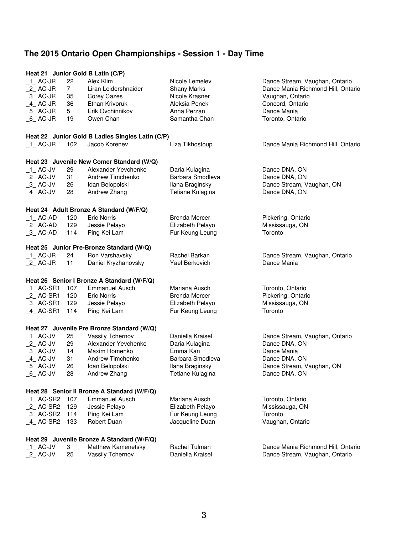|               |                | Heat 21 Junior Gold B Latin (C/P)                |                      |                                    |
|---------------|----------------|--------------------------------------------------|----------------------|------------------------------------|
| 1 AC-JR       | 22             | Alex Klim                                        | Nicole Lemelev       | Dance Stream, Vaughan, Ontario     |
| $2$ AC-JR     | $\overline{7}$ | Liran Leidershnaider                             | <b>Shany Marks</b>   | Dance Mania Richmond Hill, Ontario |
| $-3$ AC-JR    | 35             | Corey Cazes                                      | Nicole Krasner       | Vaughan, Ontario                   |
| $-4$ AC-JR    | 36             | Ethan Krivoruk                                   | Aleksia Penek        | Concord, Ontario                   |
| $-5$ AC-JR    | 5              | Erik Ovchinnikov                                 | Anna Perzan          | Dance Mania                        |
| $6$ AC-JR     | 19             | Owen Chan                                        | Samantha Chan        | Toronto, Ontario                   |
|               |                |                                                  |                      |                                    |
|               |                | Heat 22 Junior Gold B Ladies Singles Latin (C/P) |                      |                                    |
| $_1$ AC-JR    | 102            | Jacob Korenev                                    | Liza Tikhostoup      | Dance Mania Richmond Hill, Ontario |
|               |                | Heat 23 Juvenile New Comer Standard (W/Q)        |                      |                                    |
| 1 AC-JV       | 29             | Alexander Yevchenko                              | Daria Kulagina       | Dance DNA, ON                      |
| $2$ AC-JV     | 31             | Andrew Timchenko                                 | Barbara Smodleva     | Dance DNA, ON                      |
| $-3$ AC-JV    | 26             | Idan Belopolski                                  | Ilana Braginsky      | Dance Stream, Vaughan, ON          |
| $-4$ AC-JV    | 28             | Andrew Zhang                                     | Tetiane Kulagina     | Dance DNA, ON                      |
|               |                |                                                  |                      |                                    |
|               |                | Heat 24 Adult Bronze A Standard (W/F/Q)          |                      |                                    |
| 1 AC-AD       | 120            | <b>Eric Norris</b>                               | <b>Brenda Mercer</b> | Pickering, Ontario                 |
| $_2$ AC-AD    | 129            | Jessie Pelayo                                    | Elizabeth Pelayo     | Mississauga, ON                    |
| $-3$ AC-AD    | 114            | Ping Kei Lam                                     | Fur Keung Leung      | Toronto                            |
|               |                | Heat 25 Junior Pre-Bronze Standard (W/Q)         |                      |                                    |
| $1$ AC-JR     | 24             | Ron Varshavsky                                   | Rachel Barkan        | Dance Stream, Vaughan, Ontario     |
| $_2$ AC-JR    | 11             | Daniel Kryzhanovsky                              | Yael Berkovich       | Dance Mania                        |
|               |                | Heat 26 Senior I Bronze A Standard (W/F/Q)       |                      |                                    |
| 1 AC-SR1      | 107            | <b>Emmanuel Ausch</b>                            | Mariana Ausch        | Toronto, Ontario                   |
| $_2$ AC-SR1   | 120            | <b>Eric Norris</b>                               | <b>Brenda Mercer</b> | Pickering, Ontario                 |
| 3 AC-SR1      | 129            | Jessie Pelayo                                    | Elizabeth Pelayo     | Mississauga, ON                    |
| $-4$ AC-SR1   | 114            | Ping Kei Lam                                     | Fur Keung Leung      | Toronto                            |
|               |                |                                                  |                      |                                    |
|               |                | Heat 27 Juvenile Pre Bronze Standard (W/Q)       |                      |                                    |
| $-1$ AC-JV    | 25             | Vassily Tchernov                                 | Daniella Kraisel     | Dance Stream, Vaughan, Ontario     |
| $2$ AC-JV     | 29             | Alexander Yevchenko                              | Daria Kulagina       | Dance DNA, ON                      |
| 3 AC-JV       | 14             | Maxim Homenko                                    | Emma Kan             | Dance Mania                        |
| 4 AC-JV       | 31             | Andrew Timchenko                                 | Barbara Smodleva     | Dance DNA, ON                      |
| _5 AC-JV      | 26             | Idan Belopolski                                  | Ilana Braginsky      | Dance Stream, Vaughan, ON          |
| $\_6\_$ AC-JV | 28             | Andrew Zhang                                     | Tetiane Kulagina     | Dance DNA, ON                      |
|               |                | Heat 28 Senior II Bronze A Standard (W/F/Q)      |                      |                                    |
| 1 AC-SR2      | 107            | <b>Emmanuel Ausch</b>                            | Mariana Ausch        | Toronto, Ontario                   |
| $_2$ AC-SR2   | 129            | Jessie Pelayo                                    | Elizabeth Pelayo     | Mississauga, ON                    |
| $-3$ AC-SR2   | 114            | Ping Kei Lam                                     | Fur Keung Leung      | Toronto                            |
|               | 133            | Robert Duan                                      |                      | Vaughan, Ontario                   |
| $-4$ AC-SR2   |                |                                                  | Jacqueline Duan      |                                    |
|               |                | Heat 29 Juvenile Bronze A Standard (W/F/Q)       |                      |                                    |
| 1 AC-JV       | 3              | Matthew Kamenetsky                               | Rachel Tulman        | Dance Mania Richmond Hill, Ontario |
| $2$ AC-JV     | 25             | Vassily Tchernov                                 | Daniella Kraisel     | Dance Stream, Vaughan, Ontario     |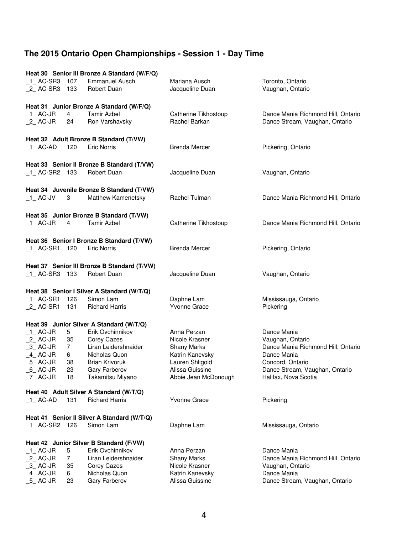|                                |       | Heat 30 Senior III Bronze A Standard (W/F/Q)              |                                  |                                      |
|--------------------------------|-------|-----------------------------------------------------------|----------------------------------|--------------------------------------|
| 1 AC-SR3 107<br>_2_ AC-SR3 133 |       | <b>Emmanuel Ausch</b><br>Robert Duan                      | Mariana Ausch<br>Jacqueline Duan | Toronto, Ontario<br>Vaughan, Ontario |
|                                |       |                                                           |                                  |                                      |
|                                |       | Heat 31 Junior Bronze A Standard (W/F/Q)                  |                                  |                                      |
| $_1$ _ AC-JR                   | 4     | <b>Tamir Azbel</b>                                        | Catherine Tikhostoup             | Dance Mania Richmond Hill, Ontario   |
| $_2$ AC-JR                     | 24    | Ron Varshavsky                                            | Rachel Barkan                    | Dance Stream, Vaughan, Ontario       |
|                                |       |                                                           |                                  |                                      |
|                                |       | Heat 32 Adult Bronze B Standard (T/VW)                    |                                  |                                      |
| $-1$ AC-AD                     | 120   | <b>Eric Norris</b>                                        | <b>Brenda Mercer</b>             | Pickering, Ontario                   |
|                                |       |                                                           |                                  |                                      |
| 1 AC-SR2 133                   |       | Heat 33 Senior II Bronze B Standard (T/VW)<br>Robert Duan | Jacqueline Duan                  | Vaughan, Ontario                     |
|                                |       |                                                           |                                  |                                      |
|                                |       | Heat 34 Juvenile Bronze B Standard (T/VW)                 |                                  |                                      |
| $\_$ 1 $\_$ AC-JV $\_$         | 3     | Matthew Kamenetsky                                        | Rachel Tulman                    | Dance Mania Richmond Hill, Ontario   |
|                                |       |                                                           |                                  |                                      |
|                                |       | Heat 35 Junior Bronze B Standard (T/VW)                   |                                  |                                      |
| $\_$ 1 $\_$ AC-JR              | 4     | <b>Tamir Azbel</b>                                        | Catherine Tikhostoup             | Dance Mania Richmond Hill, Ontario   |
|                                |       |                                                           |                                  |                                      |
|                                |       | Heat 36 Senior I Bronze B Standard (T/VW)                 |                                  |                                      |
| 1 AC-SR1 120                   |       | <b>Eric Norris</b>                                        | <b>Brenda Mercer</b>             | Pickering, Ontario                   |
|                                |       |                                                           |                                  |                                      |
|                                |       | Heat 37 Senior III Bronze B Standard (T/VW)               |                                  |                                      |
| 1 AC-SR3 133                   |       | Robert Duan                                               | Jacqueline Duan                  | Vaughan, Ontario                     |
|                                |       | Heat 38 Senior I Silver A Standard (W/T/Q)                |                                  |                                      |
| 1 AC-SR1 126                   |       | Simon Lam                                                 | Daphne Lam                       | Mississauga, Ontario                 |
| $2$ AC-SR1                     | - 131 | <b>Richard Harris</b>                                     | Yvonne Grace                     | Pickering                            |
|                                |       |                                                           |                                  |                                      |
|                                |       | Heat 39 Junior Silver A Standard (W/T/Q)                  |                                  |                                      |
| 1 AC-JR                        | 5     | Erik Ovchinnikov                                          | Anna Perzan                      | Dance Mania                          |
| $2$ AC-JR                      | 35    | Corey Cazes                                               | Nicole Krasner                   | Vaughan, Ontario                     |
| 3 AC-JR                        | 7     | Liran Leidershnaider                                      | <b>Shany Marks</b>               | Dance Mania Richmond Hill, Ontario   |
| 4 AC-JR                        | 6     | Nicholas Quon                                             | Katrin Kanevsky                  | Dance Mania                          |
| $-5$ AC-JR                     | 38    | <b>Brian Krivoruk</b>                                     | Lauren Shligold                  | Concord, Ontario                     |
| $6$ $AC$ -JR                   | 23    | Gary Farberov                                             | Alissa Guissine                  | Dance Stream, Vaughan, Ontario       |
| $Z$ AC-JR                      | 18    | Takamitsu Miyano                                          | Abbie Jean McDonough             | Halifax, Nova Scotia                 |
|                                |       | Heat 40 Adult Silver A Standard (W/T/Q)                   |                                  |                                      |
| $-1$ AC-AD                     | 131   | <b>Richard Harris</b>                                     | <b>Yvonne Grace</b>              | Pickering                            |
|                                |       |                                                           |                                  |                                      |
|                                |       | Heat 41 Senior II Silver A Standard (W/T/Q)               |                                  |                                      |
| $1$ AC-SR2 126                 |       | Simon Lam                                                 | Daphne Lam                       | Mississauga, Ontario                 |
|                                |       |                                                           |                                  |                                      |
|                                |       | Heat 42 Junior Silver B Standard (F/VW)                   |                                  |                                      |
| $_1$ AC-JR                     | 5     | Erik Ovchinnikov                                          | Anna Perzan                      | Dance Mania                          |
| $_2$ AC-JR                     | 7     | Liran Leidershnaider                                      | <b>Shany Marks</b>               | Dance Mania Richmond Hill, Ontario   |
| $-3$ AC-JR                     | 35    | Corey Cazes                                               | Nicole Krasner                   | Vaughan, Ontario                     |
| 4 AC-JR                        | 6     | Nicholas Quon                                             | Katrin Kanevsky                  | Dance Mania                          |
| $-5$ AC-JR                     | 23    | Gary Farberov                                             | Alissa Guissine                  | Dance Stream, Vaughan, Ontario       |
|                                |       |                                                           |                                  |                                      |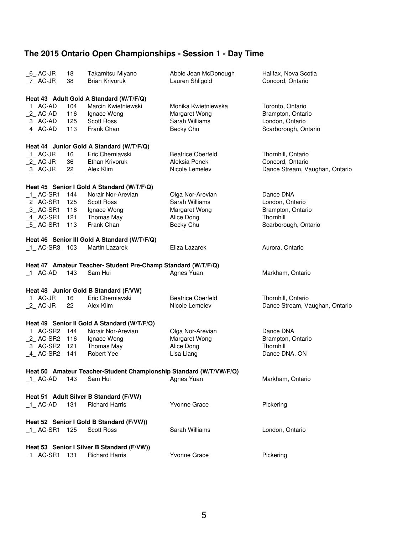| $6$ AC-JR<br>7 AC-JR | 18<br>38 | Takamitsu Miyano<br><b>Brian Krivoruk</b>                          | Abbie Jean McDonough<br>Lauren Shligold | Halifax, Nova Scotia<br>Concord, Ontario |
|----------------------|----------|--------------------------------------------------------------------|-----------------------------------------|------------------------------------------|
|                      |          | Heat 43 Adult Gold A Standard (W/T/F/Q)                            |                                         |                                          |
| $-1$ AC-AD           | 104      | Marcin Kwietniewski                                                | Monika Kwietniewska                     | Toronto, Ontario                         |
| 2 AC-AD              | 116      | Ignace Wong                                                        | Margaret Wong                           | Brampton, Ontario                        |
| $-3$ AC-AD           | 125      | <b>Scott Ross</b>                                                  | Sarah Williams                          | London, Ontario                          |
| $-4$ AC-AD           | 113      | Frank Chan                                                         | Becky Chu                               | Scarborough, Ontario                     |
|                      |          | Heat 44 Junior Gold A Standard (W/T/F/Q)                           |                                         |                                          |
| 1 AC-JR              | 16       | Eric Cherniavski                                                   | <b>Beatrice Oberfeld</b>                | Thornhill, Ontario                       |
| 2 AC-JR              | 36       | Ethan Krivoruk                                                     | Aleksia Penek                           | Concord, Ontario                         |
| $-3$ AC-JR           | 22       | Alex Klim                                                          | Nicole Lemelev                          | Dance Stream, Vaughan, Ontario           |
|                      |          | Heat 45 Senior I Gold A Standard (W/T/F/Q)                         |                                         |                                          |
| $_1$ AC-SR1          | 144      | Norair Nor-Arevian                                                 | Olga Nor-Arevian                        | Dance DNA                                |
| $2$ AC-SR1           | 125      | <b>Scott Ross</b>                                                  | Sarah Williams                          | London, Ontario                          |
| 3 AC-SR1             | 116      | Ignace Wong                                                        | Margaret Wong                           | Brampton, Ontario                        |
| $-4$ AC-SR1          | 121      | Thomas May                                                         | Alice Dong                              | Thornhill                                |
| $-5$ AC-SR1          | 113      | Frank Chan                                                         | Becky Chu                               | Scarborough, Ontario                     |
|                      |          | Heat 46 Senior III Gold A Standard (W/T/F/Q)                       |                                         |                                          |
| 1 AC-SR3 103         |          | Martin Lazarek                                                     | Eliza Lazarek                           | Aurora, Ontario                          |
|                      |          | Heat 47 Amateur Teacher- Student Pre-Champ Standard (W/T/F/Q)      |                                         |                                          |
| 1 AC-AD              | 143      | Sam Hui                                                            | Agnes Yuan                              | Markham, Ontario                         |
|                      |          | Heat 48 Junior Gold B Standard (F/VW)                              |                                         |                                          |
| $1$ AC-JR            | 16       | Eric Cherniavski                                                   | <b>Beatrice Oberfeld</b>                | Thornhill, Ontario                       |
| $_2$ AC-JR           | 22       | Alex Klim                                                          | Nicole Lemelev                          | Dance Stream, Vaughan, Ontario           |
|                      |          | Heat 49 Senior II Gold A Standard (W/T/F/Q)                        |                                         |                                          |
| 1 AC-SR2             | - 144    | Norair Nor-Arevian                                                 | Olga Nor-Arevian                        | Dance DNA                                |
| _2_ AC-SR2 116       |          | Ignace Wong                                                        | Margaret Wong                           | Brampton, Ontario                        |
| $-3$ AC-SR2          | 121      | Thomas May                                                         | Alice Dong                              | Thornhill                                |
| 4 AC-SR2             | 141      | Robert Yee                                                         | Lisa Liang                              | Dance DNA, ON                            |
|                      |          | Heat 50 Amateur Teacher-Student Championship Standard (W/T/VW/F/Q) |                                         |                                          |
| 1 AC-AD              | 143      | Sam Hui                                                            | Agnes Yuan                              | Markham, Ontario                         |
|                      |          | Heat 51 Adult Silver B Standard (F/VW)                             |                                         |                                          |
| 1 AC-AD              | 131      | <b>Richard Harris</b>                                              | Yvonne Grace                            | Pickering                                |
|                      |          | Heat 52 Senior I Gold B Standard (F/VW))                           |                                         |                                          |
| 1 AC-SR1             | 125      | <b>Scott Ross</b>                                                  | Sarah Williams                          | London, Ontario                          |
|                      |          | Heat 53 Senior I Silver B Standard (F/VW))                         |                                         |                                          |
| 1 AC-SR1 131         |          | <b>Richard Harris</b>                                              | Yvonne Grace                            | Pickering                                |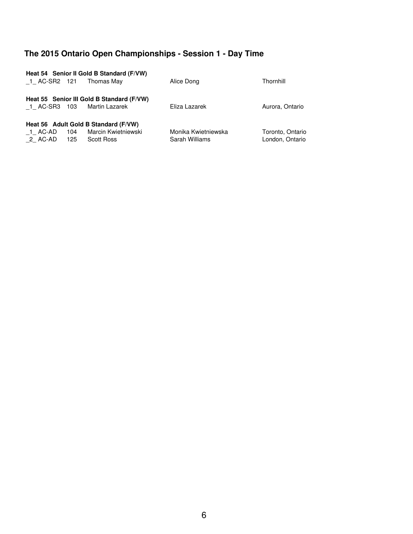| 1 AC-SR2 121 |     | Heat 54 Senior II Gold B Standard (F/VW)<br>Thomas May      | Alice Dong          | Thornhill        |
|--------------|-----|-------------------------------------------------------------|---------------------|------------------|
| 1 AC-SR3 103 |     | Heat 55 Senior III Gold B Standard (F/VW)<br>Martin Lazarek | Eliza Lazarek       | Aurora, Ontario  |
|              |     | Heat 56 Adult Gold B Standard (F/VW)                        |                     |                  |
| 1 AC-AD      | 104 | Marcin Kwietniewski                                         | Monika Kwietniewska | Toronto, Ontario |
| 2 AC-AD      | 125 | Scott Ross                                                  | Sarah Williams      | London, Ontario  |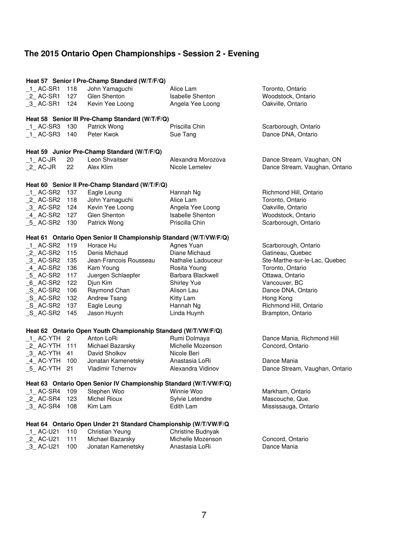## **The 2015 Ontario Open Championships Session 2 Evening**

|                |     | Heat 57 Senior I Pre-Champ Standard (W/T/F/Q)                                    |                         |                                |
|----------------|-----|----------------------------------------------------------------------------------|-------------------------|--------------------------------|
| 1 AC-SR1       | 118 | John Yamaguchi                                                                   | Alice Lam               | Toronto, Ontario               |
| $2$ AC-SR1     | 127 | Glen Shenton                                                                     | <b>Isabelle Shenton</b> | Woodstock, Ontario             |
| $-3$ AC-SR1    | 124 | Kevin Yee Loong                                                                  | Angela Yee Loong        | Oakville, Ontario              |
|                |     |                                                                                  |                         |                                |
|                |     | Heat 58 Senior III Pre-Champ Standard (W/T/F/Q)                                  |                         |                                |
| 1 AC-SR3 130   |     | Patrick Wong                                                                     | Priscilla Chin          | Scarborough, Ontario           |
| $-1$ AC-SR3    | 140 | Peter Kwok                                                                       | Sue Tang                | Dance DNA, Ontario             |
|                |     |                                                                                  |                         |                                |
|                |     | Heat 59 Junior Pre-Champ Standard (W/T/F/Q)                                      |                         |                                |
| $1$ AC-JR      | 20  | Leon Shvaitser                                                                   | Alexandra Morozova      | Dance Stream, Vaughan, ON      |
| $_2$ AC-JR     | 22  | Alex Klim                                                                        | Nicole Lemelev          | Dance Stream, Vaughan, Ontario |
|                |     |                                                                                  |                         |                                |
|                |     | Heat 60 Senior II Pre-Champ Standard (W/T/F/Q)                                   |                         |                                |
| $-1$ AC-SR2    | 137 | Eagle Leung                                                                      | Hannah Ng               | Richmond Hill, Ontario         |
| $_2$ AC-SR2    | 118 | John Yamaguchi                                                                   | Alice Lam               | Toronto, Ontario               |
| 3 AC-SR2 124   |     | Kevin Yee Loong                                                                  | Angela Yee Loong        | Oakville, Ontario              |
| 4 AC-SR2 127   |     | Glen Shenton                                                                     | <b>Isabelle Shenton</b> | Woodstock, Ontario             |
| 5 AC-SR2       | 130 | Patrick Wong                                                                     | Priscilla Chin          | Scarborough, Ontario           |
|                |     |                                                                                  |                         |                                |
|                |     | Heat 61 Ontario Open Senior II Championship Standard (W/T/VW/F/Q)                |                         |                                |
| 1 AC-SR2       | 119 | Horace Hu                                                                        | Agnes Yuan              | Scarborough, Ontario           |
| $2$ AC-SR2     | 115 | Denis Michaud                                                                    | Diane Michaud           | Gatineau, Quebec               |
| 3 AC-SR2       | 135 | Jean-Francois Rousseau                                                           | Nathalie Ladouceur      | Ste-Marthe-sur-le-Lac, Quebec  |
| 4 AC-SR2       | 136 | Kam Young                                                                        | Rosita Young            | Toronto, Ontario               |
| 5 AC-SR2       | 117 | Juergen Schlaepfer                                                               | Barbara Blackwell       | Ottawa, Ontario                |
| 6 AC-SR2       | 122 | Djun Kim                                                                         | Shirley Yue             | Vancouver, BC                  |
| $\_S\_$ AC-SR2 | 106 | Raymond Chan                                                                     | Alison Lau              | Dance DNA, Ontario             |
| $\_S\_AC-SR2$  | 132 | Andrew Tsang                                                                     | Kitty Lam               | Hong Kong                      |
| $_S$ _AC-SR2   | 137 | Eagle Leung                                                                      | Hannah Ng               | Richmond Hill, Ontario         |
| S AC-SR2       | 145 | Jason Huynh                                                                      | Linda Huynh             | Brampton, Ontario              |
|                |     |                                                                                  |                         |                                |
|                |     | Heat 62 Ontario Open Youth Championship Standard (W/T/VW/F/Q)                    |                         |                                |
| 1 AC-YTH 2     |     | Anton LoRi                                                                       | Rumi Dolmaya            | Dance Mania, Richmond Hill     |
| _2_ AC-YTH 111 |     | Michael Bazarsky                                                                 | Michelle Mozenson       | Concord, Ontario               |
| 3 AC-YTH 41    |     | David Sholkov                                                                    | Nicole Beri             |                                |
| 4 AC-YTH 100   |     | Jonatan Kamenetsky                                                               | Anastasia LoRi          | Dance Mania                    |
| 5 AC-YTH       | 21  | <b>Vladimir Tchernov</b>                                                         | Alexandra Vidinov       | Dance Stream, Vaughan, Ontario |
|                |     |                                                                                  |                         |                                |
| 1 AC-SR4       | 109 | Heat 63 Ontario Open Senior IV Championship Standard (W/T/VW/F/Q)<br>Stephen Woo | Winnie Woo              | Markham, Ontario               |
| $_2$ AC-SR4    | 123 | <b>Michel Rioux</b>                                                              | Sylvie Letendre         | Mascouche, Que.                |
|                |     |                                                                                  |                         |                                |
| 3 AC-SR4       | 108 | Kim Lam                                                                          | Edith Lam               | Mississauga, Ontario           |
|                |     | Heat 64 Ontario Open Under 21 Standard Championship (W/T/VW/F/Q                  |                         |                                |
| $-1$ AC-U21    | 110 | Christian Yeung                                                                  | Christine Budnyak       |                                |
| 2_AC-U21       | 111 | Michael Bazarsky                                                                 | Michelle Mozenson       | Concord, Ontario               |
| _3_AC-U21      | 100 | Jonatan Kamenetsky                                                               | Anastasia LoRi          | Dance Mania                    |
|                |     |                                                                                  |                         |                                |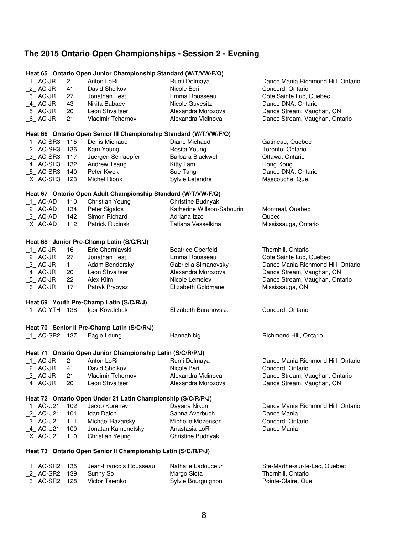## **The 2015 Ontario Open Championships Session 2 Evening**

|                    | Heat 65 Ontario Open Junior Championship Standard (W/T/VW/F/Q) |                                                                    |                            |                                    |  |
|--------------------|----------------------------------------------------------------|--------------------------------------------------------------------|----------------------------|------------------------------------|--|
| 1 AC-JR            | $\mathbf{2}$                                                   | Anton LoRi                                                         | Rumi Dolmaya               | Dance Mania Richmond Hill, Ontario |  |
| $_2$ AC-JR         | 41                                                             | David Sholkov                                                      | Nicole Beri                | Concord, Ontario                   |  |
| $-3$ AC-JR         | 27                                                             | Jonathan Test                                                      | Emma Rousseau              | Cote Sainte Luc, Quebec            |  |
| $-4$ AC-JR         | 43                                                             | Nikita Babaev                                                      | Nicole Guvesitz            | Dance DNA, Ontario                 |  |
| $_5$ AC-JR         | 20                                                             | Leon Shvaitser                                                     | Alexandra Morozova         | Dance Stream, Vaughan, ON          |  |
| $6$ AC-JR          | 21                                                             | <b>Vladimir Tchernov</b>                                           | Alexandra Vidinova         | Dance Stream, Vaughan, Ontario     |  |
|                    |                                                                |                                                                    |                            |                                    |  |
|                    |                                                                | Heat 66 Ontario Open Senior III Championship Standard (W/T/VW/F/Q) |                            |                                    |  |
| 1 AC-SR3           | 115                                                            | Denis Michaud                                                      | Diane Michaud              | Gatineau, Quebec                   |  |
| $2$ AC-SR3         | 136                                                            | Kam Young                                                          | Rosita Young               | Toronto, Ontario                   |  |
| $-3$ AC-SR3        | 117                                                            | Juergen Schlaepfer                                                 | Barbara Blackwell          | Ottawa, Ontario                    |  |
| 4_ AC-SR3          | 132                                                            | Andrew Tsang                                                       | Kitty Lam                  | Hong Kong                          |  |
| $-5$ AC-SR3        | 140                                                            | Peter Kwok                                                         | Sue Tang                   | Dance DNA, Ontario                 |  |
| $X$ AC-SR3         | 123                                                            | <b>Michel Rioux</b>                                                | Sylvie Letendre            | Mascouche, Que.                    |  |
|                    |                                                                |                                                                    |                            |                                    |  |
|                    |                                                                | Heat 67 Ontario Open Adult Championship Standard (W/T/VW/F/Q)      |                            |                                    |  |
| $-1$ AC-AD         | 110                                                            | Christian Yeung                                                    | Christine Budnyak          |                                    |  |
| $_2$ AC-AD         | 134                                                            | Peter Sigalos                                                      | Katherine Willson-Sabourin | Montreal, Quebec                   |  |
| $-3$ AC-AD         | 142                                                            | Simon Richard                                                      | Adriana Izzo               | Qubec                              |  |
| $X$ AC-AD          | 112                                                            | Patrick Rucinski                                                   | Tatiana Vesselkina         | Mississauga, Ontario               |  |
|                    |                                                                |                                                                    |                            |                                    |  |
|                    |                                                                | Heat 68 Junior Pre-Champ Latin (S/C/R/J)                           |                            |                                    |  |
| $_1$ AC-JR         | 16                                                             | Eric Cherniavski                                                   | <b>Beatrice Oberfeld</b>   | Thornhill, Ontario                 |  |
| $_2$ AC-JR         | 27                                                             | Jonathan Test                                                      | Emma Rousseau              | Cote Sainte Luc, Quebec            |  |
| $-3$ AC-JR         | $\mathbf{1}$                                                   | Adam Bendersky                                                     | Gabriella Simanovsky       | Dance Mania Richmond Hill, Ontario |  |
| 4 AC-JR            | 20                                                             | Leon Shvaitser                                                     | Alexandra Morozova         | Dance Stream, Vaughan, ON          |  |
| $-5$ AC-JR         | 22                                                             | Alex Klim                                                          | Nicole Lemelev             | Dance Stream, Vaughan, Ontario     |  |
| $_6$ AC-JR         | 17                                                             | Patryk Prybysz                                                     | Elizabeth Goldmane         | Mississauga, ON                    |  |
|                    |                                                                | Heat 69 Youth Pre-Champ Latin (S/C/R/J)                            |                            |                                    |  |
| 1 AC-YTH 138       |                                                                | Igor Kovalchuk                                                     | Elizabeth Baranovska       | Concord, Ontario                   |  |
|                    |                                                                |                                                                    |                            |                                    |  |
|                    |                                                                | Heat 70 Senior II Pre-Champ Latin (S/C/R/J)                        |                            |                                    |  |
| 1 AC-SR2 137       |                                                                | Eagle Leung                                                        | Hannah Ng                  | Richmond Hill, Ontario             |  |
|                    |                                                                |                                                                    |                            |                                    |  |
|                    |                                                                | Heat 71 Ontario Open Junior Championship Latin (S/C/R/P/J)         |                            |                                    |  |
| 1 AC-JR            | $\overline{2}$                                                 | Anton LoRi                                                         | Rumi Dolmaya               | Dance Mania Richmond Hill, Ontario |  |
| $_2$ AC-JR         | 41                                                             | David Sholkov                                                      | Nicole Beri                | Concord, Ontario                   |  |
| $-3$ AC-JR         | 21                                                             | <b>Vladimir Tchernov</b>                                           | Alexandra Vidinova         | Dance Stream, Vaughan, Ontario     |  |
| $-4$ AC-JR         | 20                                                             | Leon Shvaitser                                                     | Alexandra Morozova         | Dance Stream, Vaughan, ON          |  |
|                    |                                                                |                                                                    |                            |                                    |  |
|                    |                                                                | Heat 72 Ontario Open Under 21 Latin Championship (S/C/R/P/J)       |                            |                                    |  |
| 1 AC-U21           | 102                                                            | Jacob Korenev                                                      | Dayana Nikon               | Dance Mania Richmond Hill, Ontario |  |
| _2_ AC-U21         | 101                                                            | Idan Daich                                                         | Sanna Averbuch             | Dance Mania                        |  |
| _3 AC-U21          | 111                                                            | Michael Bazarsky                                                   | Michelle Mozenson          | Concord, Ontario                   |  |
| 4 AC-U21           | 100                                                            | Jonatan Kamenetsky                                                 | Anastasia LoRi             | Dance Mania                        |  |
| $X$ AC-U21         | 110                                                            | Christian Yeung                                                    | Christine Budnyak          |                                    |  |
|                    |                                                                | Heat 73 Ontario Open Senior II Championship Latin (S/C/R/P/J)      |                            |                                    |  |
| $\_$ 1 $\_$ AC-SR2 | 135                                                            | Jean-Francois Rousseau                                             | Nathalie Ladouceur         | Ste-Marthe-sur-le-Lac, Quebec      |  |
| $2$ AC-SR2         | 139                                                            | Sunny So                                                           | Margo Slota                | Thornhill, Ontario                 |  |
| 3 AC-SR2 128       |                                                                | Victor Tsemko                                                      | Sylvie Bourguignon         | Pointe-Claire, Que.                |  |
|                    |                                                                |                                                                    |                            |                                    |  |